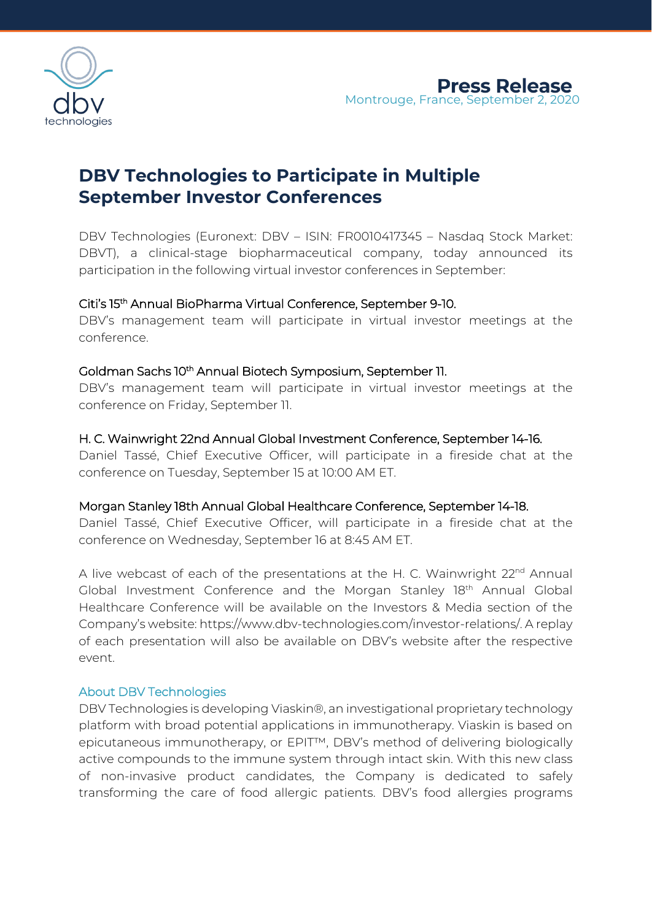

# **DBV Technologies to Participate in Multiple September Investor Conferences**

DBV Technologies (Euronext: DBV – ISIN: FR0010417345 – Nasdaq Stock Market: DBVT), a clinical-stage biopharmaceutical company, today announced its participation in the following virtual investor conferences in September:

# Citi's 15th Annual BioPharma Virtual Conference, September 9-10.

DBV's management team will participate in virtual investor meetings at the conference.

# Goldman Sachs 10<sup>th</sup> Annual Biotech Symposium, September 11.

DBV's management team will participate in virtual investor meetings at the conference on Friday, September 11.

# H. C. Wainwright 22nd Annual Global Investment Conference, September 14-16.

Daniel Tassé, Chief Executive Officer, will participate in a fireside chat at the conference on Tuesday, September 15 at 10:00 AM ET.

### Morgan Stanley 18th Annual Global Healthcare Conference, September 14-18.

Daniel Tassé, Chief Executive Officer, will participate in a fireside chat at the conference on Wednesday, September 16 at 8:45 AM ET.

A live webcast of each of the presentations at the H. C. Wainwright 22<sup>nd</sup> Annual Global Investment Conference and the Morgan Stanley 18<sup>th</sup> Annual Global Healthcare Conference will be available on the Investors & Media section of the Company's website: https://www.dbv-technologies.com/investor-relations/. A replay of each presentation will also be available on DBV's website after the respective event.

### About DBV Technologies

DBV Technologies is developing Viaskin®, an investigational proprietary technology platform with broad potential applications in immunotherapy. Viaskin is based on epicutaneous immunotherapy, or EPIT™, DBV's method of delivering biologically active compounds to the immune system through intact skin. With this new class of non-invasive product candidates, the Company is dedicated to safely transforming the care of food allergic patients. DBV's food allergies programs